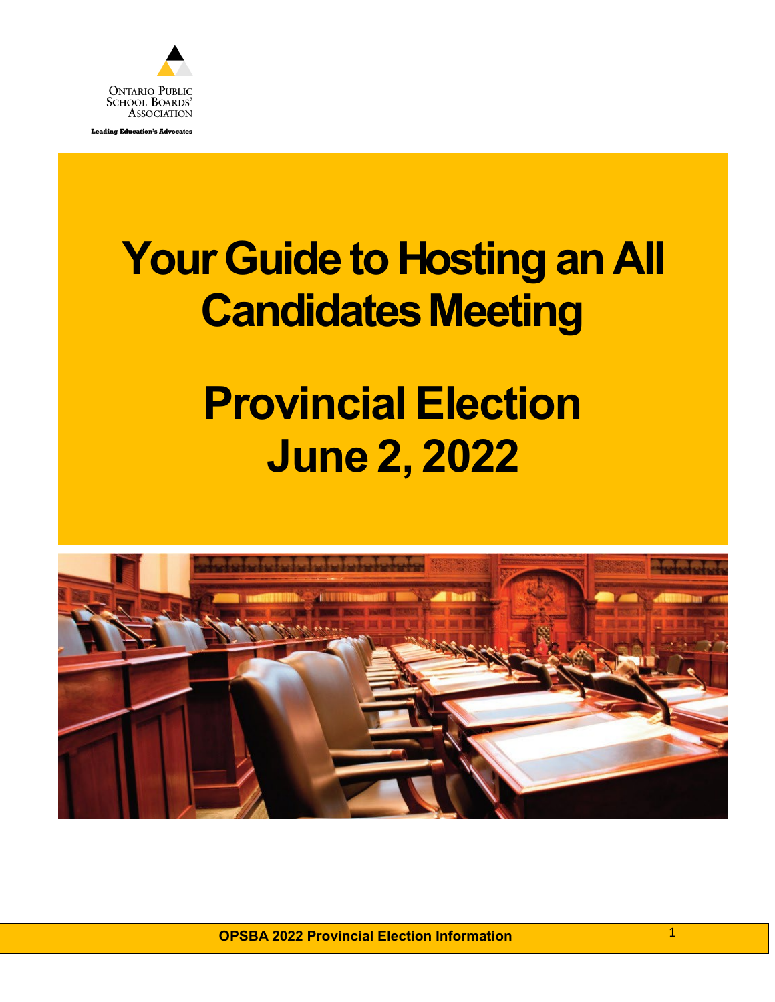

**Leading Education's Advocates** 

# **YourGuide to Hosting an All Candidates Meeting**

# **Provincial Election June 2, 2022**



**OPSBA 2022 Provincial Election Information** 1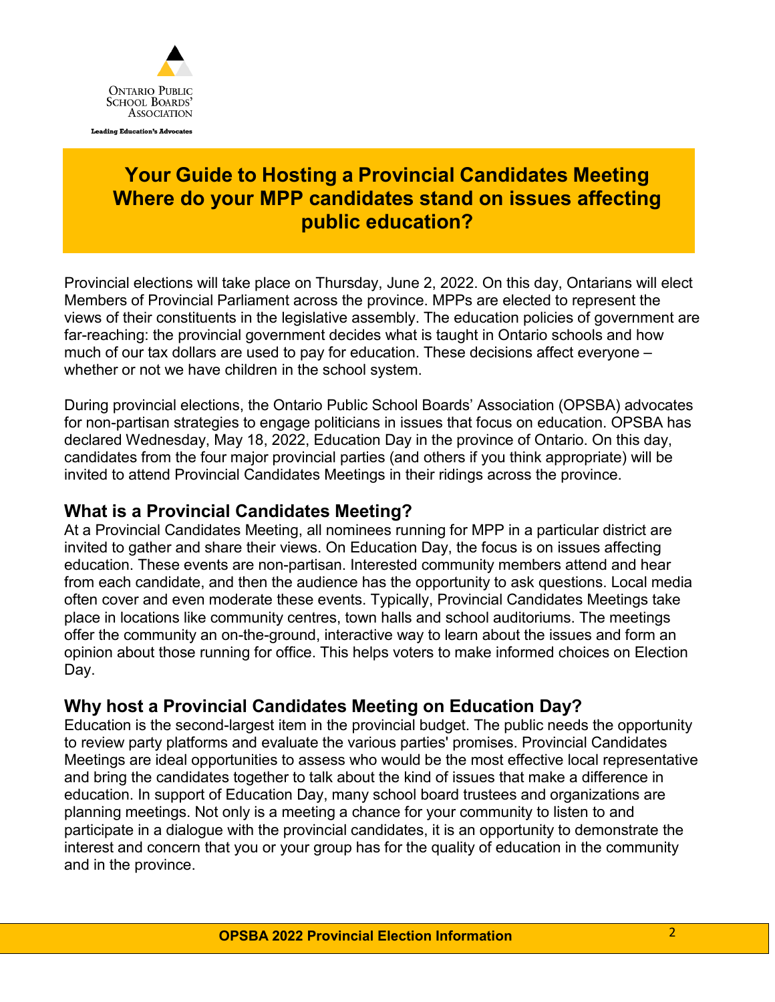

## **Your Guide to Hosting a Provincial Candidates Meeting Where do your MPP candidates stand on issues affecting public education?**

Provincial elections will take place on Thursday, June 2, 2022. On this day, Ontarians will elect Members of Provincial Parliament across the province. MPPs are elected to represent the views of their constituents in the legislative assembly. The education policies of government are far-reaching: the provincial government decides what is taught in Ontario schools and how much of our tax dollars are used to pay for education. These decisions affect everyone – whether or not we have children in the school system.

During provincial elections, the Ontario Public School Boards' Association (OPSBA) advocates for non-partisan strategies to engage politicians in issues that focus on education. OPSBA has declared Wednesday, May 18, 2022, Education Day in the province of Ontario. On this day, candidates from the four major provincial parties (and others if you think appropriate) will be invited to attend Provincial Candidates Meetings in their ridings across the province.

#### **What is a Provincial Candidates Meeting?**

At a Provincial Candidates Meeting, all nominees running for MPP in a particular district are invited to gather and share their views. On Education Day, the focus is on issues affecting education. These events are non-partisan. Interested community members attend and hear from each candidate, and then the audience has the opportunity to ask questions. Local media often cover and even moderate these events. Typically, Provincial Candidates Meetings take place in locations like community centres, town halls and school auditoriums. The meetings offer the community an on-the-ground, interactive way to learn about the issues and form an opinion about those running for office. This helps voters to make informed choices on Election Day.

### **Why host a Provincial Candidates Meeting on Education Day?**

Education is the second-largest item in the provincial budget. The public needs the opportunity to review party platforms and evaluate the various parties' promises. Provincial Candidates Meetings are ideal opportunities to assess who would be the most effective local representative and bring the candidates together to talk about the kind of issues that make a difference in education. In support of Education Day, many school board trustees and organizations are planning meetings. Not only is a meeting a chance for your community to listen to and participate in a dialogue with the provincial candidates, it is an opportunity to demonstrate the interest and concern that you or your group has for the quality of education in the community and in the province.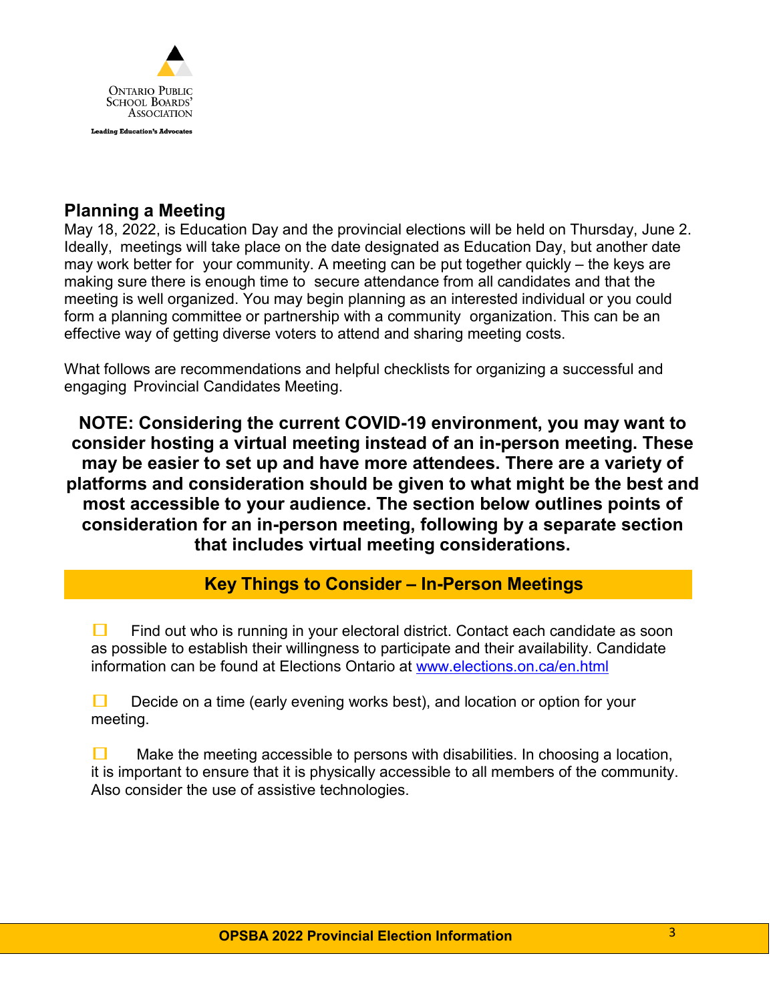

### **Planning a Meeting**

May 18, 2022, is Education Day and the provincial elections will be held on Thursday, June 2. Ideally, meetings will take place on the date designated as Education Day, but another date may work better for your community. A meeting can be put together quickly – the keys are making sure there is enough time to secure attendance from all candidates and that the meeting is well organized. You may begin planning as an interested individual or you could form a planning committee or partnership with a community organization. This can be an effective way of getting diverse voters to attend and sharing meeting costs.

What follows are recommendations and helpful checklists for organizing a successful and engaging Provincial Candidates Meeting.

**NOTE: Considering the current COVID-19 environment, you may want to consider hosting a virtual meeting instead of an in-person meeting. These may be easier to set up and have more attendees. There are a variety of platforms and consideration should be given to what might be the best and most accessible to your audience. The section below outlines points of consideration for an in-person meeting, following by a separate section that includes virtual meeting considerations.**

### **Key Things to Consider – In-Person Meetings**

 Find out who is running in your electoral district. Contact each candidate as soon as possible to establish their willingness to participate and their availability. Candidate information can be found at Elections Ontario at [www.elections.on.ca/en.html](http://www.elections.on.ca/en.html)

 $\Box$  Decide on a time (early evening works best), and location or option for your meeting.

 $\Box$  Make the meeting accessible to persons with disabilities. In choosing a location, it is important to ensure that it is physically accessible to all members of the community. Also consider the use of assistive technologies.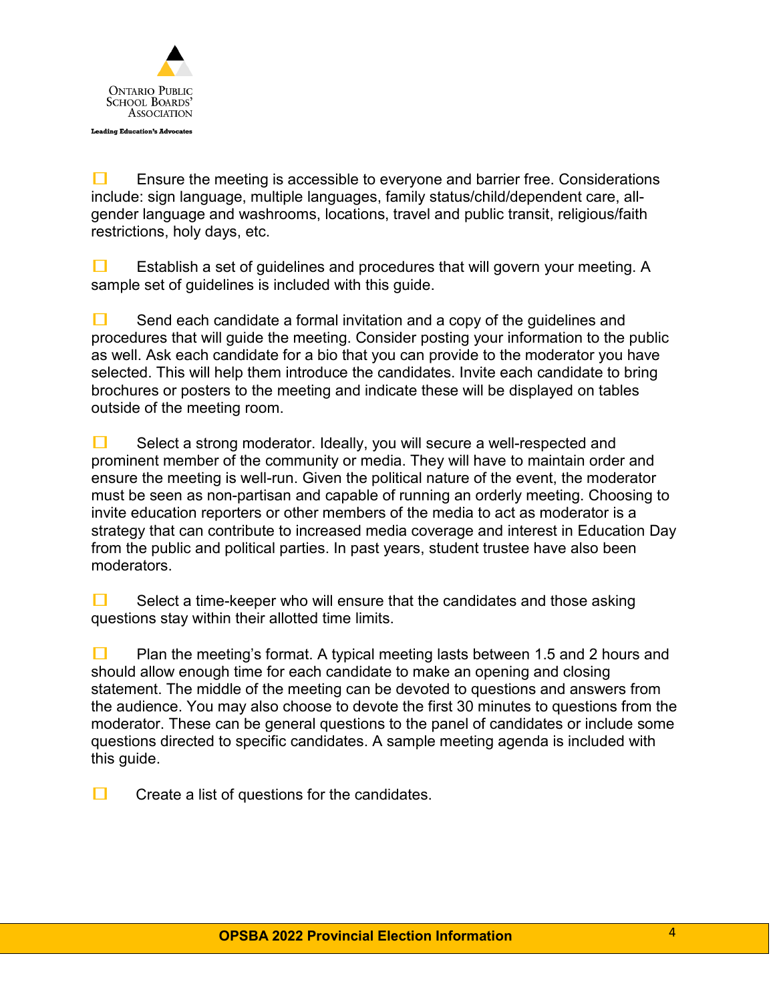

 $\Box$  Ensure the meeting is accessible to everyone and barrier free. Considerations include: sign language, multiple languages, family status/child/dependent care, allgender language and washrooms, locations, travel and public transit, religious/faith restrictions, holy days, etc.

**Example 1** Establish a set of guidelines and procedures that will govern your meeting. A sample set of guidelines is included with this guide.

 $\Box$  Send each candidate a formal invitation and a copy of the guidelines and procedures that will guide the meeting. Consider posting your information to the public as well. Ask each candidate for a bio that you can provide to the moderator you have selected. This will help them introduce the candidates. Invite each candidate to bring brochures or posters to the meeting and indicate these will be displayed on tables outside of the meeting room.

 $\Box$  Select a strong moderator. Ideally, you will secure a well-respected and prominent member of the community or media. They will have to maintain order and ensure the meeting is well-run. Given the political nature of the event, the moderator must be seen as non-partisan and capable of running an orderly meeting. Choosing to invite education reporters or other members of the media to act as moderator is a strategy that can contribute to increased media coverage and interest in Education Day from the public and political parties. In past years, student trustee have also been moderators.

 $\Box$  Select a time-keeper who will ensure that the candidates and those asking questions stay within their allotted time limits.

**Plan the meeting's format.** A typical meeting lasts between 1.5 and 2 hours and should allow enough time for each candidate to make an opening and closing statement. The middle of the meeting can be devoted to questions and answers from the audience. You may also choose to devote the first 30 minutes to questions from the moderator. These can be general questions to the panel of candidates or include some questions directed to specific candidates. A sample meeting agenda is included with this guide.

 $\Box$  Create a list of questions for the candidates.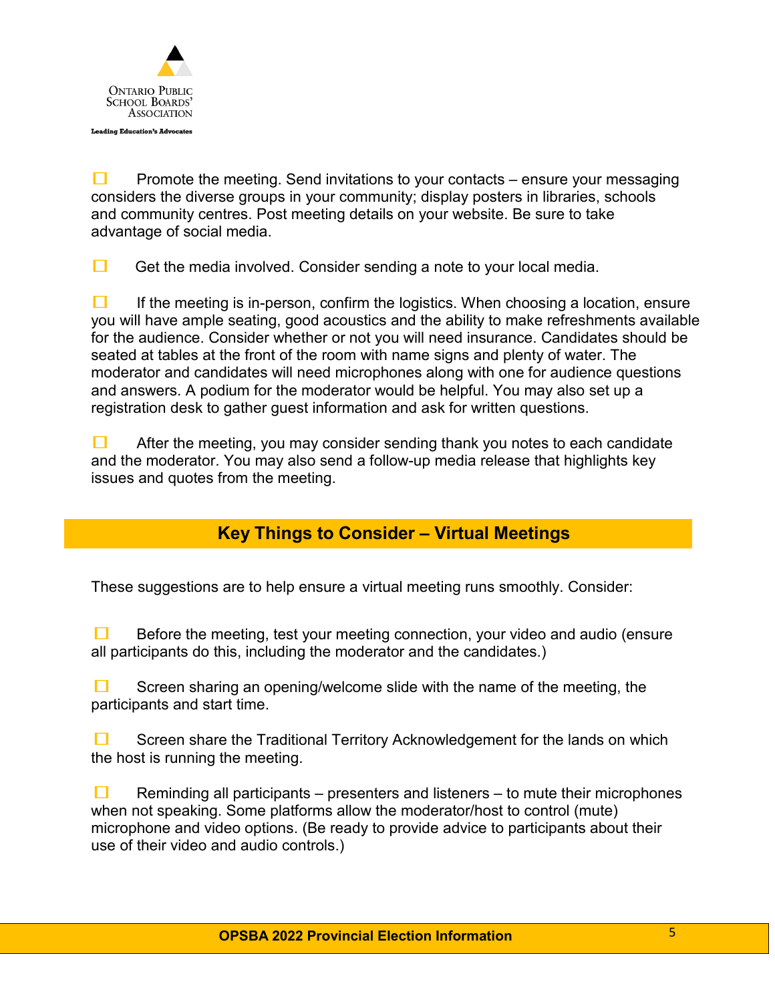

**Promote the meeting. Send invitations to your contacts – ensure your messaging** considers the diverse groups in your community; display posters in libraries, schools and community centres. Post meeting details on your website. Be sure to take advantage of social media.

 $\Box$  Get the media involved. Consider sending a note to your local media.

 $\Box$  If the meeting is in-person, confirm the logistics. When choosing a location, ensure you will have ample seating, good acoustics and the ability to make refreshments available for the audience. Consider whether or not you will need insurance. Candidates should be seated at tables at the front of the room with name signs and plenty of water. The moderator and candidates will need microphones along with one for audience questions and answers. A podium for the moderator would be helpful. You may also set up a registration desk to gather guest information and ask for written questions.

 $\Box$  After the meeting, you may consider sending thank you notes to each candidate and the moderator. You may also send a follow-up media release that highlights key issues and quotes from the meeting.

### **Key Things to Consider – Virtual Meetings**

These suggestions are to help ensure a virtual meeting runs smoothly. Consider:

 $\Box$  Before the meeting, test your meeting connection, your video and audio (ensure all participants do this, including the moderator and the candidates.)

 $\Box$  Screen sharing an opening/welcome slide with the name of the meeting, the participants and start time.

 $\Box$  Screen share the Traditional Territory Acknowledgement for the lands on which the host is running the meeting.

**E** Reminding all participants – presenters and listeners – to mute their microphones when not speaking. Some platforms allow the moderator/host to control (mute) microphone and video options. (Be ready to provide advice to participants about their use of their video and audio controls.)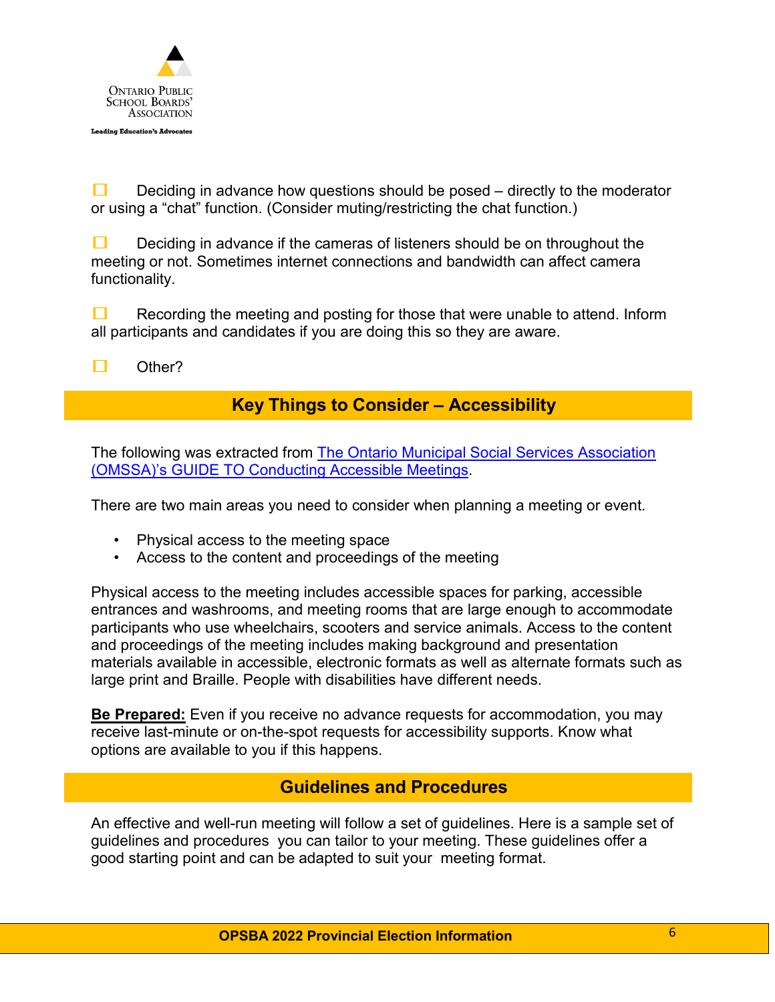

Deciding in advance how questions should be posed  $-$  directly to the moderator or using a "chat" function. (Consider muting/restricting the chat function.)

 $\Box$  Deciding in advance if the cameras of listeners should be on throughout the meeting or not. Sometimes internet connections and bandwidth can affect camera functionality.

 $\Box$  Recording the meeting and posting for those that were unable to attend. Inform all participants and candidates if you are doing this so they are aware.

 $\square$  Other?

#### **Key Things to Consider – Accessibility**

The following was extracted from [The Ontario Municipal Social Services Association](https://www.omssa.com/docs/OMSSA_Guide_to_Conducting_Accessible_Meetings_-_EN.pdf)  [\(OMSSA\)'s GUIDE TO Conducting Accessible Meetings.](https://www.omssa.com/docs/OMSSA_Guide_to_Conducting_Accessible_Meetings_-_EN.pdf)

There are two main areas you need to consider when planning a meeting or event.

- Physical access to the meeting space
- Access to the content and proceedings of the meeting

Physical access to the meeting includes accessible spaces for parking, accessible entrances and washrooms, and meeting rooms that are large enough to accommodate participants who use wheelchairs, scooters and service animals. Access to the content and proceedings of the meeting includes making background and presentation materials available in accessible, electronic formats as well as alternate formats such as large print and Braille. People with disabilities have different needs.

**Be Prepared:** Even if you receive no advance requests for accommodation, you may receive last-minute or on-the-spot requests for accessibility supports. Know what options are available to you if this happens.

#### **Guidelines and Procedures**

An effective and well-run meeting will follow a set of guidelines. Here is a sample set of guidelines and procedures you can tailor to your meeting. These guidelines offer a good starting point and can be adapted to suit your meeting format.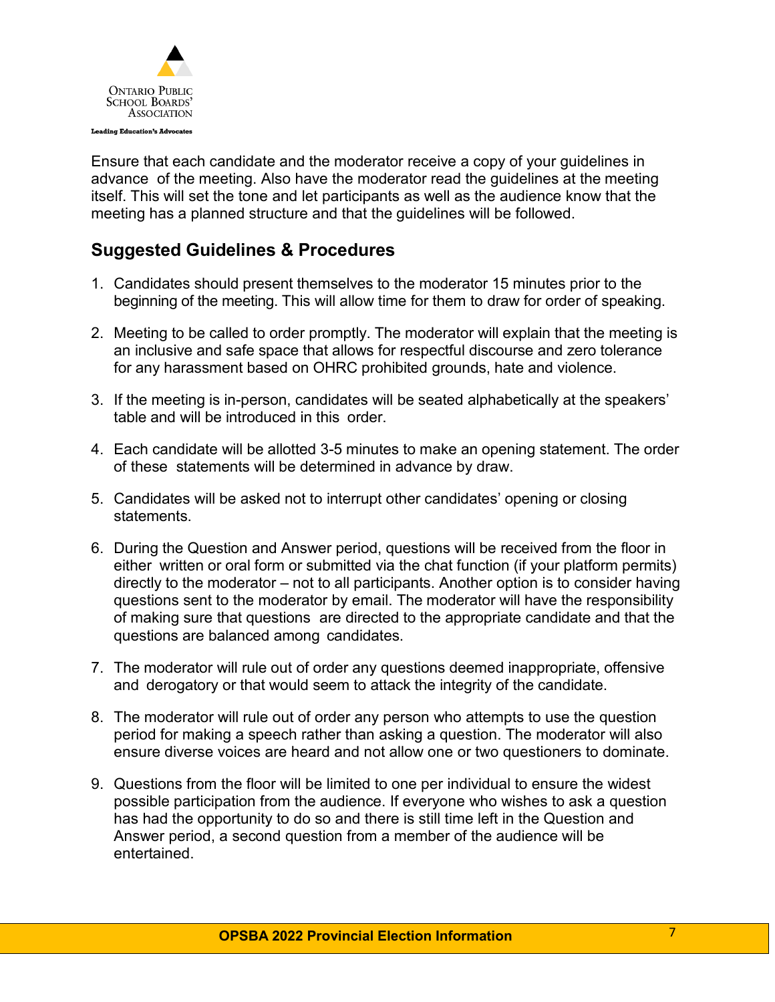

Ensure that each candidate and the moderator receive a copy of your guidelines in advance of the meeting. Also have the moderator read the guidelines at the meeting itself. This will set the tone and let participants as well as the audience know that the meeting has a planned structure and that the guidelines will be followed.

## **Suggested Guidelines & Procedures**

- 1. Candidates should present themselves to the moderator 15 minutes prior to the beginning of the meeting. This will allow time for them to draw for order of speaking.
- 2. Meeting to be called to order promptly. The moderator will explain that the meeting is an inclusive and safe space that allows for respectful discourse and zero tolerance for any harassment based on OHRC prohibited grounds, hate and violence.
- 3. If the meeting is in-person, candidates will be seated alphabetically at the speakers' table and will be introduced in this order.
- 4. Each candidate will be allotted 3-5 minutes to make an opening statement. The order of these statements will be determined in advance by draw.
- 5. Candidates will be asked not to interrupt other candidates' opening or closing **statements**
- 6. During the Question and Answer period, questions will be received from the floor in either written or oral form or submitted via the chat function (if your platform permits) directly to the moderator – not to all participants. Another option is to consider having questions sent to the moderator by email. The moderator will have the responsibility of making sure that questions are directed to the appropriate candidate and that the questions are balanced among candidates.
- 7. The moderator will rule out of order any questions deemed inappropriate, offensive and derogatory or that would seem to attack the integrity of the candidate.
- 8. The moderator will rule out of order any person who attempts to use the question period for making a speech rather than asking a question. The moderator will also ensure diverse voices are heard and not allow one or two questioners to dominate.
- 9. Questions from the floor will be limited to one per individual to ensure the widest possible participation from the audience. If everyone who wishes to ask a question has had the opportunity to do so and there is still time left in the Question and Answer period, a second question from a member of the audience will be entertained.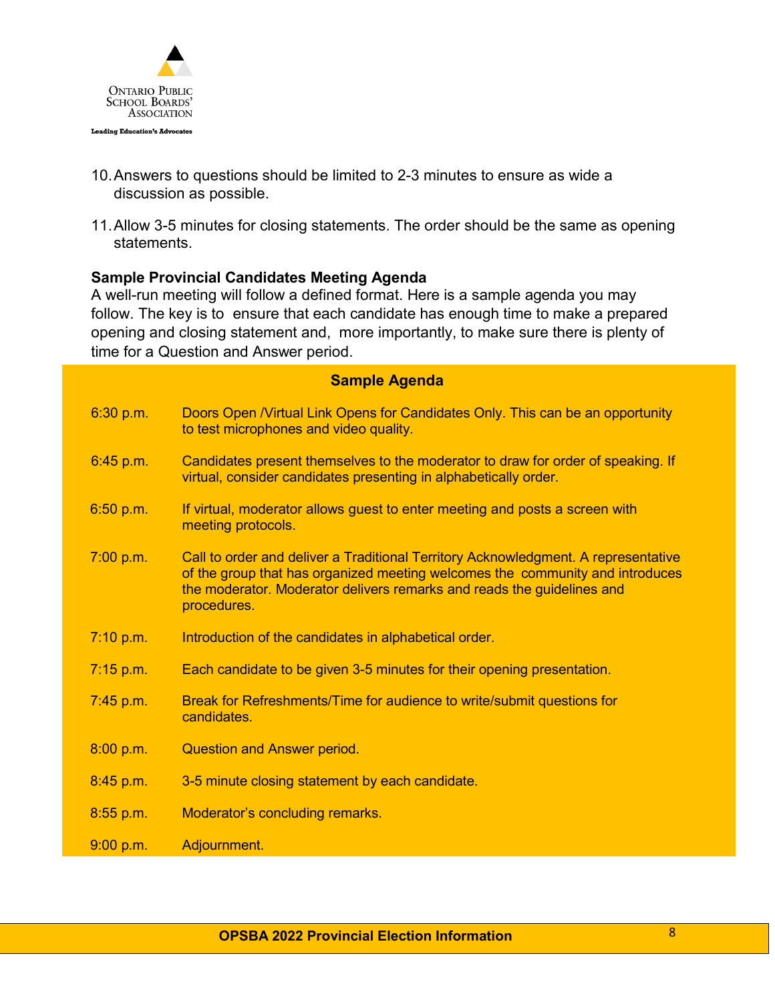

- 10.Answers to questions should be limited to 2-3 minutes to ensure as wide a discussion as possible.
- 11.Allow 3-5 minutes for closing statements. The order should be the same as opening statements.

#### **Sample Provincial Candidates Meeting Agenda**

A well-run meeting will follow a defined format. Here is a sample agenda you may follow. The key is to ensure that each candidate has enough time to make a prepared opening and closing statement and, more importantly, to make sure there is plenty of time for a Question and Answer period.

#### **Sample Agenda**

| 6:30 p.m.   | Doors Open / Virtual Link Opens for Candidates Only. This can be an opportunity<br>to test microphones and video quality.                                                                                                                                    |
|-------------|--------------------------------------------------------------------------------------------------------------------------------------------------------------------------------------------------------------------------------------------------------------|
| 6:45 p.m.   | Candidates present themselves to the moderator to draw for order of speaking. If<br>virtual, consider candidates presenting in alphabetically order.                                                                                                         |
| 6:50 p.m.   | If virtual, moderator allows guest to enter meeting and posts a screen with<br>meeting protocols.                                                                                                                                                            |
| 7:00 p.m.   | Call to order and deliver a Traditional Territory Acknowledgment. A representative<br>of the group that has organized meeting welcomes the community and introduces<br>the moderator. Moderator delivers remarks and reads the guidelines and<br>procedures. |
| 7:10 p.m.   | Introduction of the candidates in alphabetical order.                                                                                                                                                                                                        |
| $7:15$ p.m. | Each candidate to be given 3-5 minutes for their opening presentation.                                                                                                                                                                                       |
| $7:45$ p.m. | Break for Refreshments/Time for audience to write/submit questions for<br>candidates.                                                                                                                                                                        |
| 8:00 p.m.   | <b>Question and Answer period.</b>                                                                                                                                                                                                                           |
| 8:45 p.m.   | 3-5 minute closing statement by each candidate.                                                                                                                                                                                                              |
| $8:55$ p.m. | Moderator's concluding remarks.                                                                                                                                                                                                                              |
| 9:00 p.m.   | Adjournment.                                                                                                                                                                                                                                                 |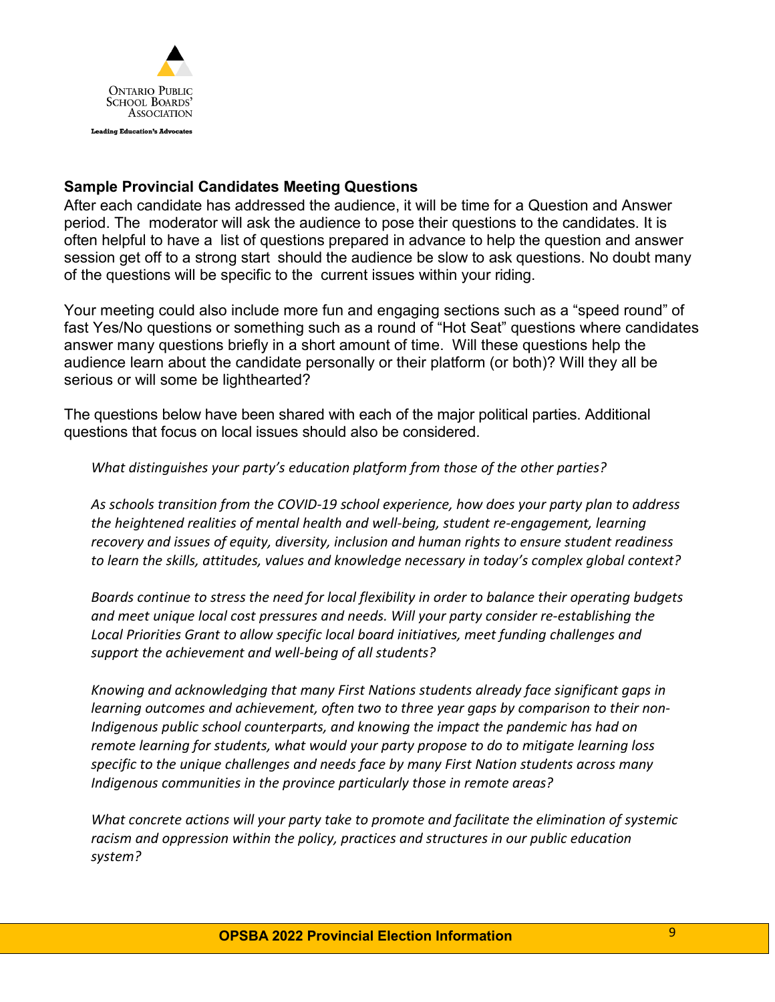

#### **Sample Provincial Candidates Meeting Questions**

After each candidate has addressed the audience, it will be time for a Question and Answer period. The moderator will ask the audience to pose their questions to the candidates. It is often helpful to have a list of questions prepared in advance to help the question and answer session get off to a strong start should the audience be slow to ask questions. No doubt many of the questions will be specific to the current issues within your riding.

Your meeting could also include more fun and engaging sections such as a "speed round" of fast Yes/No questions or something such as a round of "Hot Seat" questions where candidates answer many questions briefly in a short amount of time. Will these questions help the audience learn about the candidate personally or their platform (or both)? Will they all be serious or will some be lighthearted?

The questions below have been shared with each of the major political parties. Additional questions that focus on local issues should also be considered.

*What distinguishes your party's education platform from those of the other parties?*

*As schools transition from the COVID-19 school experience, how does your party plan to address the heightened realities of mental health and well-being, student re-engagement, learning recovery and issues of equity, diversity, inclusion and human rights to ensure student readiness to learn the skills, attitudes, values and knowledge necessary in today's complex global context?*

*Boards continue to stress the need for local flexibility in order to balance their operating budgets and meet unique local cost pressures and needs. Will your party consider re-establishing the Local Priorities Grant to allow specific local board initiatives, meet funding challenges and support the achievement and well-being of all students?*

*Knowing and acknowledging that many First Nations students already face significant gaps in learning outcomes and achievement, often two to three year gaps by comparison to their non-Indigenous public school counterparts, and knowing the impact the pandemic has had on remote learning for students, what would your party propose to do to mitigate learning loss specific to the unique challenges and needs face by many First Nation students across many Indigenous communities in the province particularly those in remote areas?*

*What concrete actions will your party take to promote and facilitate the elimination of systemic racism and oppression within the policy, practices and structures in our public education system?*